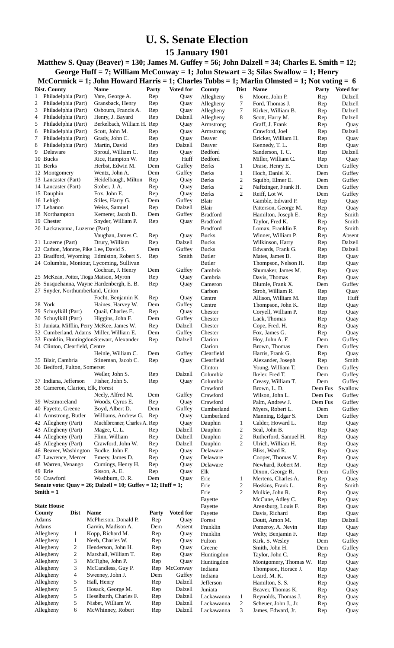## **U. S. Senate Election**

**15 January 1901**

**Matthew S. Quay (Beaver) = 130; James M. Guffey = 56; John Dalzell = 34; Charles E. Smith = 12; George Huff = 7; William McConway = 1; John Stewart = 3; Silas Swallow = 1; Henry**

|                                            |                     |                                                              |              |                    |                          |                                  | McCormick = 1; John Howard Harris = 1; Charles Tubbs = 1; Marlin Olmsted = 1; Not voting = 6 |            |                  |
|--------------------------------------------|---------------------|--------------------------------------------------------------|--------------|--------------------|--------------------------|----------------------------------|----------------------------------------------------------------------------------------------|------------|------------------|
| Dist. County                               |                     | <b>Name</b>                                                  | <b>Party</b> | Voted for          | County                   | <b>Dist</b>                      | Name                                                                                         | Party      | <b>Voted for</b> |
| 1                                          | Philadelphia (Part) | Vare, George A.                                              | Rep          | Quay               | Allegheny                | 6                                | Moore, John P.                                                                               | Rep        | Dalzell          |
| 2                                          | Philadelphia (Part) | Gransback, Henry                                             | Rep          | Quay               | Allegheny                | 7                                | Ford, Thomas J.                                                                              | Rep        | Dalzell          |
| 3                                          | Philadelphia (Part) | Osbourn, Francis A.                                          | Rep          | Quay               | Allegheny                | 7                                | Kirker, William B.                                                                           | Rep        | Dalzell          |
| 4                                          | Philadelphia (Part) | Henry, J. Bayard                                             | Rep          | Dalzell            | Allegheny                | 8                                | Scott, Harry M.                                                                              | Rep        | Dalzell          |
| 5                                          | Philadelphia (Part) | Berkelbach, William H. Rep                                   |              | Quay               | Armstrong                |                                  | Graff, J. Frank                                                                              | Rep        | Quay             |
| 6                                          | Philadelphia (Part) | Scott, John M.                                               | Rep          | Quay               | Armstrong                |                                  | Crawford, Joel                                                                               | Rep        | Dalzell          |
| 7                                          | Philadelphia (Part) | Grady, John C.                                               | Rep          | Quay               | Beaver                   |                                  | Bricker, William H.                                                                          | Rep        | Quay             |
| 8                                          | Philadelphia (Part) | Martin, David                                                | Rep          | Dalzell            | Beaver                   |                                  | Kennedy, T. L.                                                                               | Rep        | Quay             |
| 9<br>Delaware                              |                     | Sproul, William C.                                           | Rep          | Quay               | Bedford                  |                                  | Sanderson, T. C.                                                                             | Rep        | Dalzell          |
| 10 Bucks                                   |                     | Rice, Hampton W.                                             | Rep          | Huff               | Bedford                  |                                  | Miller, William C.                                                                           | Rep        | Quay             |
| 11 Berks                                   |                     | Herbst, Edwin M.                                             | Dem          | Guffey             | <b>Berks</b>             | 1                                | Drase, Henry E.                                                                              | Dem        | Guffey           |
| 12 Montgomery                              |                     | Wentz, John A.                                               | Dem          | Guffey             | <b>Berks</b>             | $\mathbf{1}$                     | Hoch, Daniel K.                                                                              | Dem        | Guffey           |
| 13 Lancaster (Part)                        |                     | Heidelbaugh, Milton                                          | Rep          | Quay               | <b>Berks</b>             | $\boldsymbol{2}$                 | Squibb, Elmer E.                                                                             | Dem        | Guffey           |
| 14 Lancaster (Part)                        |                     | Stober, J. A.                                                | Rep          | Quay               | <b>Berks</b>             | $\boldsymbol{2}$                 | Naftzinger, Frank H.                                                                         | Dem        | Guffey           |
| 15 Dauphin                                 |                     | Fox, John E.                                                 | Rep          | Quay               | <b>Berks</b>             | $\overline{c}$                   | Reiff, Lot W.                                                                                | Dem        | Guffey           |
| 16 Lehigh                                  |                     | Stiles, Harry G.                                             | Dem          | Guffey             | Blair                    |                                  | Gamble, Edward P.                                                                            | Rep        | Quay             |
| 17 Lebanon                                 |                     | Weiss, Samuel                                                | Rep          | Dalzell            | Blair                    |                                  | Patterson, George M.                                                                         | Rep        | Quay             |
| 18 Northampton                             |                     | Kemerer, Jacob B.                                            | Dem          | Guffey             | <b>Bradford</b>          |                                  | Hamilton, Joseph E.                                                                          | Rep        | Smith            |
| 19 Chester                                 |                     | Snyder, William P.                                           | Rep          | Quay               | <b>Bradford</b>          |                                  | Taylor, Fred K.                                                                              | Rep        | Smith            |
| 20 Lackawanna, Luzerne (Part)              |                     |                                                              |              |                    | <b>Bradford</b>          |                                  | Lomax, Franklin F.                                                                           | Rep        | Smith            |
|                                            |                     | Vaughan, James C.                                            | Rep          | Quay               | <b>Bucks</b>             |                                  | Winner, William P.                                                                           | Rep        | Absent           |
| 21 Luzerne (Part)                          |                     | Drury, William                                               | Rep          | Dalzell            | <b>Bucks</b>             |                                  | Wilkinson, Harry                                                                             | Rep        | Dalzell          |
|                                            |                     | 22 Carbon, Monroe, Pike Lee, David S.                        | Dem          | Guffey             | <b>Bucks</b>             |                                  | Edwards, Frank G.                                                                            | Rep        | Dalzell          |
|                                            |                     | 23 Bradford, Wyoming Edmiston, Robert S.                     | Rep          | Smith              | <b>Butler</b>            |                                  | Mates, James B.                                                                              | Rep        | Quay             |
|                                            |                     | 24 Columbia, Montour, Lycoming, Sullivan                     |              |                    | <b>Butler</b>            |                                  | Thompson, Nelson H.                                                                          | Rep        | Quay             |
|                                            |                     | Cochran, J. Henry                                            | Dem          | Guffey             | Cambria                  |                                  | Shumaker, James M.                                                                           | Rep        | Quay             |
|                                            |                     | 25 McKean, Potter, Tioga Matson, Myron                       | Rep          | Quay               | Cambria                  |                                  | Davis, Thomas                                                                                | Rep        | Quay             |
|                                            |                     | 26 Susquehanna, Wayne Hardenbergh, E. B.                     | Rep          | Quay               | Cameron                  |                                  | Blumle, Frank X.                                                                             | Dem        | Guffey           |
|                                            |                     | 27 Snyder, Northumberland, Union                             |              |                    | Carbon                   |                                  | Stroh, William R.                                                                            | Rep        | Quay             |
|                                            |                     | Focht, Benjamin K.                                           | Rep          | Quay               | Centre                   |                                  | Allison, William M.                                                                          | Rep        | Huff             |
| 28 York                                    |                     | Haines, Harvey W.                                            | Dem          | Guffey             | Centre                   |                                  | Thompson, John K.                                                                            | Rep        | Quay             |
| 29 Schuylkill (Part)                       |                     | Quail, Charles E.                                            | Rep          | Quay               | Chester                  |                                  | Coryell, William P.                                                                          | Rep        | Quay             |
| 30 Schuylkill (Part)                       |                     | Higgins, John F.                                             | Dem          | Guffey             | Chester                  |                                  | Lack, Thomas                                                                                 | Rep        | Quay             |
|                                            |                     | 31 Juniata, Mifflin, Perry McKee, James W.                   | Rep          | Dalzell            | Chester                  |                                  | Cope, Fred. H.                                                                               | Rep        | Quay             |
|                                            |                     | 32 Cumberland, Adams Miller, William E.                      | Dem          | Guffey             | Chester                  |                                  | Fox, James G.                                                                                | Rep        | Quay             |
|                                            |                     | 33 Franklin, Huntingdon Stewart, Alexander                   | Rep          | Dalzell            | Clarion                  |                                  | Hoy, John A. F.                                                                              | Dem        | Guffey           |
| 34 Clinton, Clearfield, Centre             |                     |                                                              |              |                    | Clarion                  |                                  | Brown, Thomas                                                                                | Dem        | Guffey           |
|                                            |                     | Heinle, William C.                                           | Dem          | Guffey             | Clearfield               |                                  | Harris, Frank G.                                                                             | Rep        | Quay             |
| 35 Blair, Cambria                          |                     | Stineman, Jacob C.                                           | Rep          | Quay               | Clearfield               |                                  | Alexander, Joseph                                                                            | Rep        | Smith            |
| 36 Bedford, Fulton, Somerset               |                     |                                                              |              |                    | Clinton                  |                                  | Young, William T.                                                                            | Dem        | Guffey           |
|                                            |                     | Weller, John S.                                              | Rep          | Dalzell            | Columbia                 |                                  | Ikeler, Fred T.                                                                              | Dem        | Guffey           |
| 37 Indiana, Jefferson                      |                     | Fisher, John S.                                              | Rep          | Quay               | Columbia                 |                                  | Creasy, William T.                                                                           | Dem        | Guffey           |
|                                            |                     | 38 Cameron, Clarion, Elk, Forest                             |              |                    | Crawford                 |                                  | Brown, L.D.                                                                                  | Dem Fus    | Swallow          |
|                                            |                     | Neely, Alfred M.                                             | Dem          | Guffey             | Crawford                 |                                  | Wilson, John L.                                                                              | Dem Fus    | Guffey           |
| 39 Westmoreland                            |                     | Woods, Cyrus E.                                              | Rep          | Quay               | Crawford                 |                                  | Palm, Andrew J.                                                                              | Dem Fus    | Guffey           |
| 40 Fayette, Greene<br>41 Armstrong, Butler |                     | Boyd, Albert D.                                              | Dem<br>Rep   | Guffey             | Cumberland<br>Cumberland |                                  | Myers, Robert L.<br>Manning, Edgar S.                                                        | Dem        | Guffey           |
| 42 Allegheny (Part)                        |                     | Williams, Andrew G.                                          |              | Quay               |                          |                                  |                                                                                              | Dem        | Guffey           |
| 43 Allegheny (Part)                        |                     | Muehlbronner, Charles A. Rep                                 |              | Quay               | Dauphin                  | 1                                | Calder, Howard L.                                                                            | Rep        | Quay             |
| 44 Allegheny (Part)                        |                     | Magee, C.L.<br>Flinn, William                                | Rep          | Dalzell<br>Dalzell | Dauphin<br>Dauphin       | 2                                | Seal, John B.                                                                                | Rep        | Quay             |
| 45 Allegheny (Part)                        |                     | Crawford, John W.                                            | Rep          | Dalzell            |                          | $\overline{c}$<br>$\overline{c}$ | Rutherford, Samuel H.                                                                        | Rep        | Quay             |
| 46 Beaver, Washington                      |                     | Budke, John F.                                               | Rep<br>Rep   | Quay               | Dauphin<br>Delaware      |                                  | Ulrich, William H.<br>Bliss, Ward R.                                                         | Rep        | Quay             |
| 47 Lawrence, Mercer                        |                     | Emery, James D.                                              | Rep          | Quay               | Delaware                 |                                  |                                                                                              | Rep        | Quay             |
| 48 Warren, Venango                         |                     | Cumings, Henry H.                                            | Rep          | Quay               | Delaware                 |                                  | Cooper, Thomas V.<br>Newhard, Robert M.                                                      | Rep<br>Rep | Quay<br>Quay     |
| 49 Erie                                    |                     | Sisson, A. E.                                                | Rep          | Quay               | Elk                      |                                  | Dixon, George R.                                                                             | Dem        | Guffey           |
| 50 Crawford                                |                     | Washburn, O. R.                                              | Dem          | Quay               | Erie                     | 1                                | Mertens, Charles A.                                                                          | Rep        | Quay             |
|                                            |                     | Senate vote: Quay = 26; Dalzell = 10; Guffey = 12; Huff = 1; |              |                    | Erie                     | $\overline{c}$                   | Hoskins, Frank L.                                                                            | Rep        | Smith            |
| Smith $= 1$                                |                     |                                                              |              |                    | Erie                     | $\overline{c}$                   | Mulkie, John R.                                                                              | Rep        | Quay             |
|                                            |                     |                                                              |              |                    | Fayette                  |                                  | McCune, Adley C.                                                                             | Rep        | Quay             |
| <b>State House</b>                         |                     |                                                              |              |                    | Fayette                  |                                  | Arensburg, Louis F.                                                                          | Rep        | Quay             |
| County                                     | <b>Dist</b>         | Name                                                         | Party        | <b>Voted for</b>   | Fayette                  |                                  | Davis, Richard                                                                               | Rep        | Quay             |
| Adams                                      |                     | McPherson, Donald P.                                         | Rep          | Quay               | Forest                   |                                  | Doutt, Amon M.                                                                               | Rep        | Dalzell          |
| Adams                                      |                     | Garvin, Madison A.                                           | Dem          | Absent             | Franklin                 |                                  | Pomeroy, A. Nevin                                                                            | Rep        | Quay             |
| Allegheny                                  | 1                   | Kopp, Richard M.                                             | Rep          | Quay               | Franklin                 |                                  | Welty, Benjamin F.                                                                           | Rep        | Quay             |
| Allegheny                                  | $\mathbf{1}$        | Neeb, Charles W.                                             | Rep          | Quay               | Fulton                   |                                  | Kirk, S. Wesley                                                                              | Dem        | Guffey           |
| Allegheny                                  | $\boldsymbol{2}$    | Henderson, John H.                                           | Rep          | Quay               | Greene                   |                                  | Smith, John H.                                                                               | Dem        | Guffey           |
| Allegheny                                  | $\boldsymbol{2}$    | Marshall, William T.                                         | Rep          | Quay               | Huntingdon               |                                  | Taylor, John C.                                                                              | Rep        | Quay             |
| Allegheny                                  | 3                   | McTighe, John P.                                             | Rep          | Quay               | Huntingdon               |                                  | Montgomery, Thomas W.                                                                        | Rep        | Quay             |
| Allegheny                                  | 3                   | McCandless, Guy P.                                           |              | Rep McConway       | Indiana                  |                                  | Thompson, Horace J.                                                                          | Rep        | Quay             |
| Allegheny                                  | 4                   | Sweeney, John J.                                             | Dem          | Guffey             | Indiana                  |                                  | Leard, M. K.                                                                                 | Rep        | Quay             |
| Allegheny                                  | 5                   | Hall, Henry                                                  | Rep          | Dalzell            | Jefferson                |                                  | Hamilton, S. S.                                                                              | Rep        | Quay             |
| Allegheny                                  | 5                   | Hosack, George M.                                            | Rep          | Dalzell            | Juniata                  |                                  | Beaver, Thomas K.                                                                            | Rep        | Quay             |
| Allegheny                                  | 5                   | Heselbarth, Charles F.                                       | Rep          | Dalzell            | Lackawanna               | $\mathbf{1}$                     | Reynolds, Thomas J.                                                                          | Rep        | Quay             |
| Allegheny                                  | 5                   | Nisbet, William W.                                           | Rep          | Dalzell            | Lackawanna               | 2                                | Scheuer, John J., Jr.                                                                        | Rep        | Quay             |
| Allegheny                                  | 6                   | McWhinney, Robert                                            | Rep          | Dalzell            | Lackawanna               | 3                                | James, Edward, Jr.                                                                           | Rep        | Quay             |
|                                            |                     |                                                              |              |                    |                          |                                  |                                                                                              |            |                  |